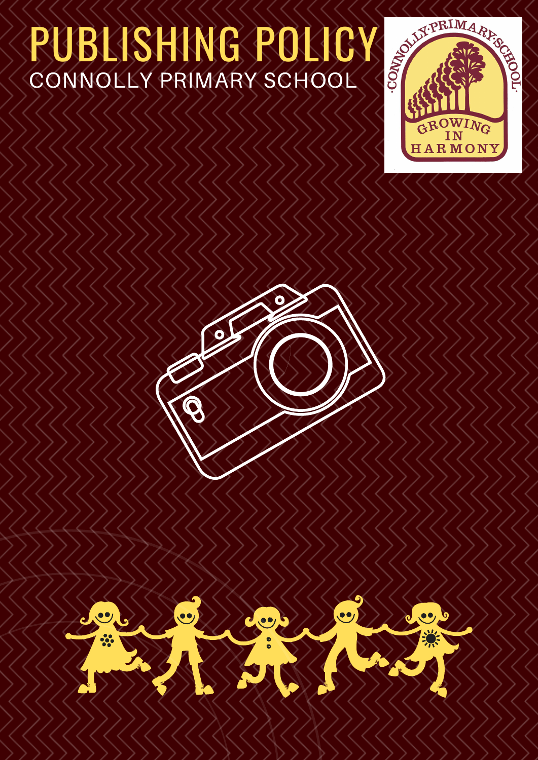## PUBLISHING POLICY SOLUTION CONNOLLY PRIMARY SCHOOL

 $\mathbf{O}$ 





O